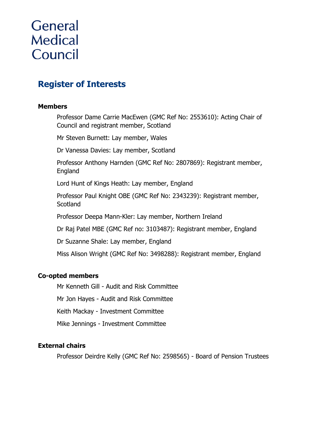# **General Medical** Council

# **Register of Interests**

#### **Members**

Professor Dame Carrie MacEwen (GMC Ref No: 2553610): Acting Chair of Council and registrant member, Scotland

Mr Steven Burnett: Lay member, Wales

Dr Vanessa Davies: Lay member, Scotland

Professor Anthony Harnden (GMC Ref No: 2807869): Registrant member, England

Lord Hunt of Kings Heath: Lay member, England

Professor Paul Knight OBE (GMC Ref No: 2343239): Registrant member, **Scotland** 

Professor Deepa Mann-Kler: Lay member, Northern Ireland

Dr Raj Patel MBE (GMC Ref no: 3103487): Registrant member, England

Dr Suzanne Shale: Lay member, England

Miss Alison Wright (GMC Ref No: 3498288): Registrant member, England

#### **Co-opted members**

Mr Kenneth Gill - Audit and Risk Committee

Mr Jon Hayes - Audit and Risk Committee

Keith Mackay - Investment Committee

Mike Jennings - Investment Committee

#### **External chairs**

Professor Deirdre Kelly (GMC Ref No: 2598565) - Board of Pension Trustees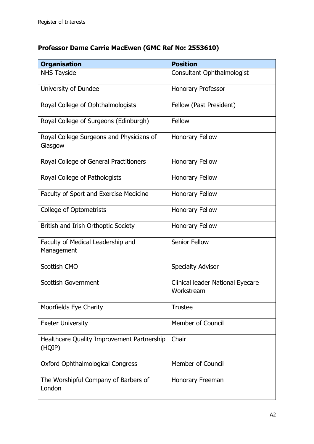# **Professor Dame Carrie MacEwen (GMC Ref No: 2553610)**

| <b>Organisation</b>                                  | <b>Position</b>                                |
|------------------------------------------------------|------------------------------------------------|
| <b>NHS Tayside</b>                                   | Consultant Ophthalmologist                     |
| University of Dundee                                 | <b>Honorary Professor</b>                      |
| Royal College of Ophthalmologists                    | Fellow (Past President)                        |
| Royal College of Surgeons (Edinburgh)                | Fellow                                         |
| Royal College Surgeons and Physicians of<br>Glasgow  | <b>Honorary Fellow</b>                         |
| Royal College of General Practitioners               | <b>Honorary Fellow</b>                         |
| Royal College of Pathologists                        | Honorary Fellow                                |
| Faculty of Sport and Exercise Medicine               | <b>Honorary Fellow</b>                         |
| <b>College of Optometrists</b>                       | <b>Honorary Fellow</b>                         |
| British and Irish Orthoptic Society                  | <b>Honorary Fellow</b>                         |
| Faculty of Medical Leadership and<br>Management      | <b>Senior Fellow</b>                           |
| <b>Scottish CMO</b>                                  | <b>Specialty Advisor</b>                       |
| <b>Scottish Government</b>                           | Clinical leader National Eyecare<br>Workstream |
| Moorfields Eye Charity                               | <b>Trustee</b>                                 |
| <b>Exeter University</b>                             | <b>Member of Council</b>                       |
| Healthcare Quality Improvement Partnership<br>(HQIP) | Chair                                          |
| <b>Oxford Ophthalmological Congress</b>              | <b>Member of Council</b>                       |
| The Worshipful Company of Barbers of<br>London       | Honorary Freeman                               |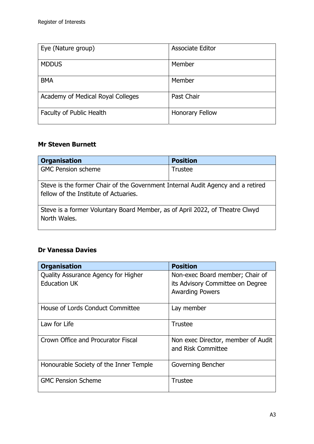| Eye (Nature group)                | <b>Associate Editor</b> |
|-----------------------------------|-------------------------|
| <b>MDDUS</b>                      | Member                  |
| <b>BMA</b>                        | Member                  |
| Academy of Medical Royal Colleges | Past Chair              |
| Faculty of Public Health          | <b>Honorary Fellow</b>  |

#### **Mr Steven Burnett**

| <b>Organisation</b>                                                                                                      | <b>Position</b> |  |
|--------------------------------------------------------------------------------------------------------------------------|-----------------|--|
| <b>GMC Pension scheme</b>                                                                                                | <b>Trustee</b>  |  |
| Steve is the former Chair of the Government Internal Audit Agency and a retired<br>fellow of the Institute of Actuaries. |                 |  |
| Steve is a former Voluntary Board Member, as of April 2022, of Theatre Clwyd<br>North Wales.                             |                 |  |

#### **Dr Vanessa Davies**

| <b>Organisation</b>                    | <b>Position</b>                    |
|----------------------------------------|------------------------------------|
| Quality Assurance Agency for Higher    | Non-exec Board member; Chair of    |
| <b>Education UK</b>                    | its Advisory Committee on Degree   |
|                                        | <b>Awarding Powers</b>             |
|                                        |                                    |
| House of Lords Conduct Committee       | Lay member                         |
|                                        |                                    |
| Law for Life                           | <b>Trustee</b>                     |
|                                        |                                    |
| Crown Office and Procurator Fiscal     | Non exec Director, member of Audit |
|                                        | and Risk Committee                 |
|                                        |                                    |
| Honourable Society of the Inner Temple | Governing Bencher                  |
|                                        |                                    |
| <b>GMC Pension Scheme</b>              | <b>Trustee</b>                     |
|                                        |                                    |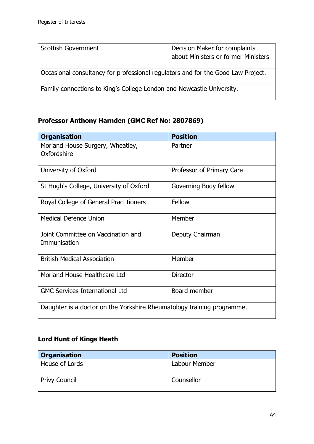| Scottish Government                                                              | Decision Maker for complaints<br>about Ministers or former Ministers |
|----------------------------------------------------------------------------------|----------------------------------------------------------------------|
| Occasional consultancy for professional regulators and for the Good Law Project. |                                                                      |
| Family connections to King's College London and Newcastle University.            |                                                                      |

## **Professor Anthony Harnden (GMC Ref No: 2807869)**

| <b>Organisation</b>                                                    | <b>Position</b>           |
|------------------------------------------------------------------------|---------------------------|
| Morland House Surgery, Wheatley,<br>Oxfordshire                        | Partner                   |
| University of Oxford                                                   | Professor of Primary Care |
| St Hugh's College, University of Oxford                                | Governing Body fellow     |
| Royal College of General Practitioners                                 | Fellow                    |
| Medical Defence Union                                                  | Member                    |
| Joint Committee on Vaccination and<br>Immunisation                     | Deputy Chairman           |
| <b>British Medical Association</b>                                     | Member                    |
| Morland House Healthcare Ltd                                           | <b>Director</b>           |
| <b>GMC Services International Ltd</b>                                  | Board member              |
| Daughter is a doctor on the Yorkshire Rheumatology training programme. |                           |

### **Lord Hunt of Kings Heath**

| <b>Organisation</b>  | <b>Position</b> |
|----------------------|-----------------|
| House of Lords       | Labour Member   |
| <b>Privy Council</b> | Counsellor      |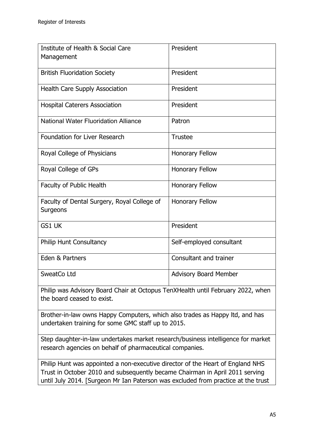| Institute of Health & Social Care<br>Management         | President                    |
|---------------------------------------------------------|------------------------------|
| <b>British Fluoridation Society</b>                     | President                    |
| <b>Health Care Supply Association</b>                   | President                    |
| <b>Hospital Caterers Association</b>                    | President                    |
| <b>National Water Fluoridation Alliance</b>             | Patron                       |
| <b>Foundation for Liver Research</b>                    | <b>Trustee</b>               |
| Royal College of Physicians                             | <b>Honorary Fellow</b>       |
| Royal College of GPs                                    | <b>Honorary Fellow</b>       |
| <b>Faculty of Public Health</b>                         | <b>Honorary Fellow</b>       |
| Faculty of Dental Surgery, Royal College of<br>Surgeons | <b>Honorary Fellow</b>       |
| <b>GS1 UK</b>                                           | President                    |
| <b>Philip Hunt Consultancy</b>                          | Self-employed consultant     |
| Eden & Partners                                         | Consultant and trainer       |
| SweatCo Ltd                                             | <b>Advisory Board Member</b> |

Philip was Advisory Board Chair at Octopus TenXHealth until February 2022, when the board ceased to exist.

Brother-in-law owns Happy Computers, which also trades as Happy ltd, and has undertaken training for some GMC staff up to 2015.

Step daughter-in-law undertakes market research/business intelligence for market research agencies on behalf of pharmaceutical companies.

Philip Hunt was appointed a non-executive director of the Heart of England NHS Trust in October 2010 and subsequently became Chairman in April 2011 serving until July 2014. [Surgeon Mr Ian Paterson was excluded from practice at the trust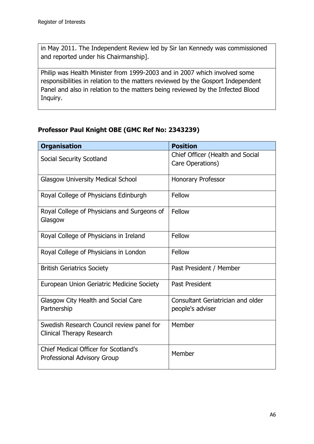in May 2011. The Independent Review led by Sir lan Kennedy was commissioned and reported under his Chairmanship].

Philip was Health Minister from 1999-2003 and in 2007 which involved some responsibilities in relation to the matters reviewed by the Gosport Independent Panel and also in relation to the matters being reviewed by the Infected Blood Inquiry.

#### **Professor Paul Knight OBE (GMC Ref No: 2343239)**

| <b>Organisation</b>                                                               | <b>Position</b>                                              |
|-----------------------------------------------------------------------------------|--------------------------------------------------------------|
| Social Security Scotland                                                          | Chief Officer (Health and Social<br>Care Operations)         |
| <b>Glasgow University Medical School</b>                                          | <b>Honorary Professor</b>                                    |
| Royal College of Physicians Edinburgh                                             | Fellow                                                       |
| Royal College of Physicians and Surgeons of<br>Glasgow                            | Fellow                                                       |
| Royal College of Physicians in Ireland                                            | Fellow                                                       |
| Royal College of Physicians in London                                             | Fellow                                                       |
| <b>British Geriatrics Society</b>                                                 | Past President / Member                                      |
| European Union Geriatric Medicine Society                                         | Past President                                               |
| Glasgow City Health and Social Care<br>Partnership                                | <b>Consultant Geriatrician and older</b><br>people's adviser |
| Swedish Research Council review panel for<br><b>Clinical Therapy Research</b>     | Member                                                       |
| <b>Chief Medical Officer for Scotland's</b><br><b>Professional Advisory Group</b> | Member                                                       |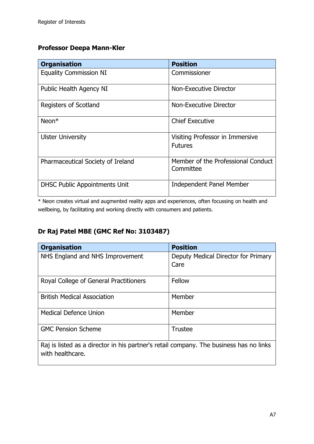#### **Professor Deepa Mann-Kler**

| <b>Organisation</b>                  | <b>Position</b>                                   |
|--------------------------------------|---------------------------------------------------|
| <b>Equality Commission NI</b>        | Commissioner                                      |
| Public Health Agency NI              | Non-Executive Director                            |
| Registers of Scotland                | Non-Executive Director                            |
| $Neon*$                              | <b>Chief Executive</b>                            |
| <b>Ulster University</b>             | Visiting Professor in Immersive<br><b>Futures</b> |
| Pharmaceutical Society of Ireland    | Member of the Professional Conduct<br>Committee   |
| <b>DHSC Public Appointments Unit</b> | <b>Independent Panel Member</b>                   |

\* Neon creates virtual and augmented reality apps and experiences, often focussing on health and wellbeing, by facilitating and working directly with consumers and patients.

## **Dr Raj Patel MBE (GMC Ref No: 3103487)**

| <b>Organisation</b>                                                                    | <b>Position</b>                             |
|----------------------------------------------------------------------------------------|---------------------------------------------|
| NHS England and NHS Improvement                                                        | Deputy Medical Director for Primary<br>Care |
|                                                                                        |                                             |
| Royal College of General Practitioners                                                 | Fellow                                      |
| <b>British Medical Association</b>                                                     | Member                                      |
| <b>Medical Defence Union</b>                                                           | Member                                      |
| <b>GMC Pension Scheme</b>                                                              | <b>Trustee</b>                              |
| Dai is listed as a director in bis partner's retail company. The business has no links |                                             |

Raj is listed as a director in his partner's retail company. The business has no links with healthcare.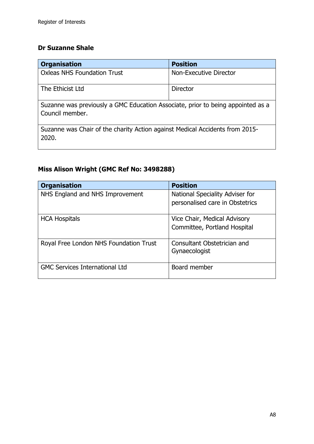### **Dr Suzanne Shale**

| <b>Organisation</b>                                                                                | <b>Position</b>        |  |
|----------------------------------------------------------------------------------------------------|------------------------|--|
| <b>Oxleas NHS Foundation Trust</b>                                                                 | Non-Executive Director |  |
| The Ethicist Ltd                                                                                   | <b>Director</b>        |  |
| Suzanne was previously a GMC Education Associate, prior to being appointed as a<br>Council member. |                        |  |
| Suzanne was Chair of the charity Action against Medical Accidents from 2015-<br>2020.              |                        |  |

# **Miss Alison Wright (GMC Ref No: 3498288)**

| <b>Organisation</b>                    | <b>Position</b>                                                    |
|----------------------------------------|--------------------------------------------------------------------|
| NHS England and NHS Improvement        | National Speciality Adviser for<br>personalised care in Obstetrics |
| <b>HCA Hospitals</b>                   | Vice Chair, Medical Advisory<br>Committee, Portland Hospital       |
| Royal Free London NHS Foundation Trust | Consultant Obstetrician and<br>Gynaecologist                       |
| <b>GMC Services International Ltd</b>  | Board member                                                       |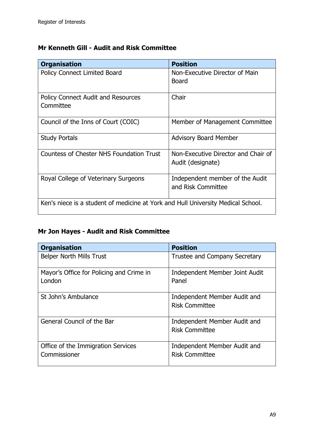### **Mr Kenneth Gill - Audit and Risk Committee**

| <b>Organisation</b>                                                              | <b>Position</b>                                          |
|----------------------------------------------------------------------------------|----------------------------------------------------------|
| <b>Policy Connect Limited Board</b>                                              | Non-Executive Director of Main<br><b>Board</b>           |
|                                                                                  |                                                          |
| <b>Policy Connect Audit and Resources</b>                                        | Chair                                                    |
| Committee                                                                        |                                                          |
| Council of the Inns of Court (COIC)                                              | Member of Management Committee                           |
| <b>Study Portals</b>                                                             | <b>Advisory Board Member</b>                             |
|                                                                                  |                                                          |
| <b>Countess of Chester NHS Foundation Trust</b>                                  | Non-Executive Director and Chair of<br>Audit (designate) |
| Royal College of Veterinary Surgeons                                             | Independent member of the Audit                          |
|                                                                                  | and Risk Committee                                       |
| Ken's niece is a student of medicine at York and Hull University Medical School. |                                                          |

## **Mr Jon Hayes - Audit and Risk Committee**

| <b>Organisation</b>                                | <b>Position</b>                                       |
|----------------------------------------------------|-------------------------------------------------------|
| <b>Belper North Mills Trust</b>                    | Trustee and Company Secretary                         |
| Mayor's Office for Policing and Crime in<br>London | Independent Member Joint Audit<br>Panel               |
| St John's Ambulance                                | Independent Member Audit and<br><b>Risk Committee</b> |
| General Council of the Bar                         | Independent Member Audit and<br><b>Risk Committee</b> |
| Office of the Immigration Services<br>Commissioner | Independent Member Audit and<br><b>Risk Committee</b> |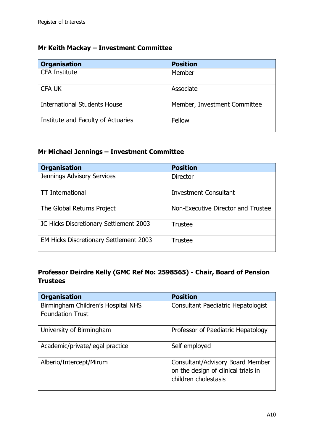#### **Mr Keith Mackay – Investment Committee**

| <b>Organisation</b>                 | <b>Position</b>              |
|-------------------------------------|------------------------------|
| <b>CFA Institute</b>                | Member                       |
| <b>CFA UK</b>                       | Associate                    |
| <b>International Students House</b> | Member, Investment Committee |
| Institute and Faculty of Actuaries  | Fellow                       |

## **Mr Michael Jennings – Investment Committee**

| <b>Organisation</b>                    | <b>Position</b>                    |
|----------------------------------------|------------------------------------|
| <b>Jennings Advisory Services</b>      | <b>Director</b>                    |
| <b>TT</b> International                | <b>Investment Consultant</b>       |
| The Global Returns Project             | Non-Executive Director and Trustee |
| JC Hicks Discretionary Settlement 2003 | <b>Trustee</b>                     |
| EM Hicks Discretionary Settlement 2003 | <b>Trustee</b>                     |

#### **Professor Deirdre Kelly (GMC Ref No: 2598565) - Chair, Board of Pension Trustees**

| <b>Organisation</b>                | <b>Position</b>                                                                                 |
|------------------------------------|-------------------------------------------------------------------------------------------------|
| Birmingham Children's Hospital NHS | Consultant Paediatric Hepatologist                                                              |
| <b>Foundation Trust</b>            |                                                                                                 |
| University of Birmingham           | Professor of Paediatric Hepatology                                                              |
| Academic/private/legal practice    | Self employed                                                                                   |
| Alberio/Intercept/Mirum            | Consultant/Advisory Board Member<br>on the design of clinical trials in<br>children cholestasis |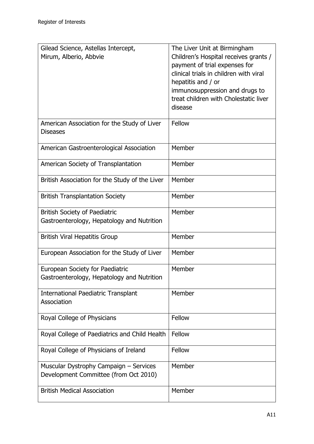| Gilead Science, Astellas Intercept,                            | The Liver Unit at Birmingham                                            |
|----------------------------------------------------------------|-------------------------------------------------------------------------|
| Mirum, Alberio, Abbvie                                         | Children's Hospital receives grants /<br>payment of trial expenses for  |
|                                                                | clinical trials in children with viral                                  |
|                                                                | hepatitis and / or                                                      |
|                                                                | immunosuppression and drugs to<br>treat children with Cholestatic liver |
|                                                                | disease                                                                 |
|                                                                |                                                                         |
| American Association for the Study of Liver<br><b>Diseases</b> | Fellow                                                                  |
| American Gastroenterological Association                       | Member                                                                  |
|                                                                |                                                                         |
| American Society of Transplantation                            | Member                                                                  |
| British Association for the Study of the Liver                 | Member                                                                  |
| <b>British Transplantation Society</b>                         | Member                                                                  |
| <b>British Society of Paediatric</b>                           | Member                                                                  |
| Gastroenterology, Hepatology and Nutrition                     |                                                                         |
| <b>British Viral Hepatitis Group</b>                           | Member                                                                  |
| European Association for the Study of Liver                    | Member                                                                  |
| European Society for Paediatric                                | Member                                                                  |
| Gastroenterology, Hepatology and Nutrition                     |                                                                         |
| <b>International Paediatric Transplant</b>                     | Member                                                                  |
| Association                                                    |                                                                         |
| Royal College of Physicians                                    | Fellow                                                                  |
| Royal College of Paediatrics and Child Health                  | Fellow                                                                  |
| Royal College of Physicians of Ireland                         | Fellow                                                                  |
| Muscular Dystrophy Campaign - Services                         | Member                                                                  |
| Development Committee (from Oct 2010)                          |                                                                         |
| <b>British Medical Association</b>                             | Member                                                                  |